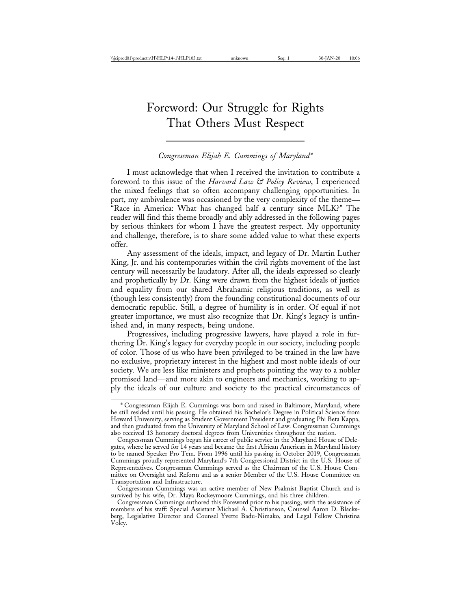# Foreword: Our Struggle for Rights That Others Must Respect

#### *Congressman Elijah E. Cummings of Maryland\**

I must acknowledge that when I received the invitation to contribute a foreword to this issue of the *Harvard Law & Policy Review*, I experienced the mixed feelings that so often accompany challenging opportunities. In part, my ambivalence was occasioned by the very complexity of the theme— "Race in America: What has changed half a century since MLK?" The reader will find this theme broadly and ably addressed in the following pages by serious thinkers for whom I have the greatest respect. My opportunity and challenge, therefore, is to share some added value to what these experts offer.

Any assessment of the ideals, impact, and legacy of Dr. Martin Luther King, Jr. and his contemporaries within the civil rights movement of the last century will necessarily be laudatory. After all, the ideals expressed so clearly and prophetically by Dr. King were drawn from the highest ideals of justice and equality from our shared Abrahamic religious traditions, as well as (though less consistently) from the founding constitutional documents of our democratic republic. Still, a degree of humility is in order. Of equal if not greater importance, we must also recognize that Dr. King's legacy is unfinished and, in many respects, being undone.

Progressives, including progressive lawyers, have played a role in furthering Dr. King's legacy for everyday people in our society, including people of color. Those of us who have been privileged to be trained in the law have no exclusive, proprietary interest in the highest and most noble ideals of our society. We are less like ministers and prophets pointing the way to a nobler promised land—and more akin to engineers and mechanics, working to apply the ideals of our culture and society to the practical circumstances of

<sup>\*</sup> Congressman Elijah E. Cummings was born and raised in Baltimore, Maryland, where he still resided until his passing. He obtained his Bachelor's Degree in Political Science from Howard University, serving as Student Government President and graduating Phi Beta Kappa, and then graduated from the University of Maryland School of Law. Congressman Cummings also received 13 honorary doctoral degrees from Universities throughout the nation.

Congressman Cummings began his career of public service in the Maryland House of Delegates, where he served for 14 years and became the first African American in Maryland history to be named Speaker Pro Tem. From 1996 until his passing in October 2019, Congressman Cummings proudly represented Maryland's 7th Congressional District in the U.S. House of Representatives. Congressman Cummings served as the Chairman of the U.S. House Committee on Oversight and Reform and as a senior Member of the U.S. House Committee on Transportation and Infrastructure.

Congressman Cummings was an active member of New Psalmist Baptist Church and is survived by his wife, Dr. Maya Rockeymoore Cummings, and his three children.

Congressman Cummings authored this Foreword prior to his passing, with the assistance of members of his staff: Special Assistant Michael A. Christianson, Counsel Aaron D. Blacksberg, Legislative Director and Counsel Yvette Badu-Nimako, and Legal Fellow Christina Volcy.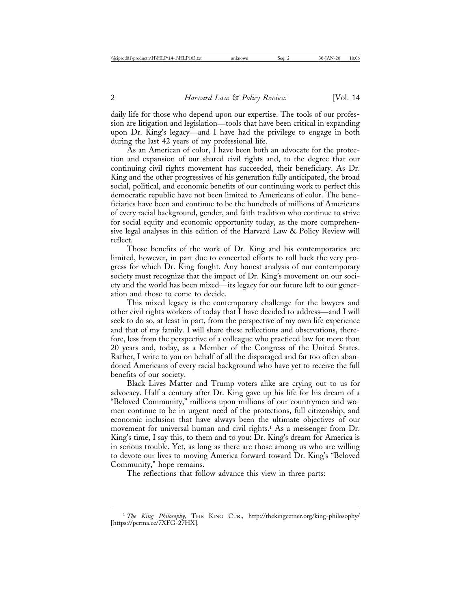daily life for those who depend upon our expertise. The tools of our profession are litigation and legislation—tools that have been critical in expanding upon Dr. King's legacy—and I have had the privilege to engage in both during the last 42 years of my professional life.

As an American of color, I have been both an advocate for the protection and expansion of our shared civil rights and, to the degree that our continuing civil rights movement has succeeded, their beneficiary. As Dr. King and the other progressives of his generation fully anticipated, the broad social, political, and economic benefits of our continuing work to perfect this democratic republic have not been limited to Americans of color. The beneficiaries have been and continue to be the hundreds of millions of Americans of every racial background, gender, and faith tradition who continue to strive for social equity and economic opportunity today, as the more comprehensive legal analyses in this edition of the Harvard Law & Policy Review will reflect.

Those benefits of the work of Dr. King and his contemporaries are limited, however, in part due to concerted efforts to roll back the very progress for which Dr. King fought. Any honest analysis of our contemporary society must recognize that the impact of Dr. King's movement on our society and the world has been mixed—its legacy for our future left to our generation and those to come to decide.

This mixed legacy is the contemporary challenge for the lawyers and other civil rights workers of today that I have decided to address—and I will seek to do so, at least in part, from the perspective of my own life experience and that of my family. I will share these reflections and observations, therefore, less from the perspective of a colleague who practiced law for more than 20 years and, today, as a Member of the Congress of the United States. Rather, I write to you on behalf of all the disparaged and far too often abandoned Americans of every racial background who have yet to receive the full benefits of our society.

Black Lives Matter and Trump voters alike are crying out to us for advocacy. Half a century after Dr. King gave up his life for his dream of a "Beloved Community," millions upon millions of our countrymen and women continue to be in urgent need of the protections, full citizenship, and economic inclusion that have always been the ultimate objectives of our movement for universal human and civil rights.<sup>1</sup> As a messenger from Dr. King's time, I say this, to them and to you: Dr. King's dream for America is in serious trouble. Yet, as long as there are those among us who are willing to devote our lives to moving America forward toward Dr. King's "Beloved Community," hope remains.

The reflections that follow advance this view in three parts:

<sup>1</sup> *The King Philosophy*, THE KING CTR., http://thekingcetner.org/king-philosophy/ [https://perma.cc/7XFG-27HX].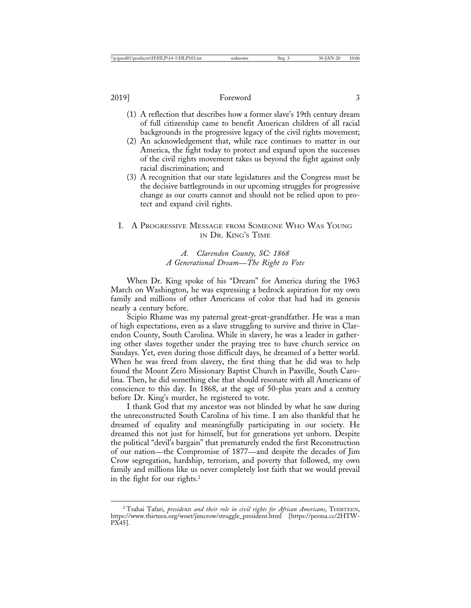- (1) A reflection that describes how a former slave's 19th century dream of full citizenship came to benefit American children of all racial backgrounds in the progressive legacy of the civil rights movement;
- (2) An acknowledgement that, while race continues to matter in our America, the fight today to protect and expand upon the successes of the civil rights movement takes us beyond the fight against only racial discrimination; and
- (3) A recognition that our state legislatures and the Congress must be the decisive battlegrounds in our upcoming struggles for progressive change as our courts cannot and should not be relied upon to protect and expand civil rights.

# I. A PROGRESSIVE MESSAGE FROM SOMEONE WHO WAS YOUNG IN DR. KING'S TIME

# *A. Clarendon County, SC: 1868 A Generational Dream*—*The Right to Vote*

When Dr. King spoke of his "Dream" for America during the 1963 March on Washington, he was expressing a bedrock aspiration for my own family and millions of other Americans of color that had had its genesis nearly a century before.

Scipio Rhame was my paternal great-great-grandfather. He was a man of high expectations, even as a slave struggling to survive and thrive in Clarendon County, South Carolina. While in slavery, he was a leader in gathering other slaves together under the praying tree to have church service on Sundays. Yet, even during those difficult days, he dreamed of a better world. When he was freed from slavery, the first thing that he did was to help found the Mount Zero Missionary Baptist Church in Paxville, South Carolina. Then, he did something else that should resonate with all Americans of conscience to this day. In 1868, at the age of 50-plus years and a century before Dr. King's murder, he registered to vote.

I thank God that my ancestor was not blinded by what he saw during the unreconstructed South Carolina of his time. I am also thankful that he dreamed of equality and meaningfully participating in our society. He dreamed this not just for himself, but for generations yet unborn. Despite the political "devil's bargain" that prematurely ended the first Reconstruction of our nation—the Compromise of 1877—and despite the decades of Jim Crow segregation, hardship, terrorism, and poverty that followed, my own family and millions like us never completely lost faith that we would prevail in the fight for our rights.2

<sup>2</sup> Tsahai Tafari, *presidents and their role in civil rights for African Americans*, THIRTEEN, https://www.thirteen.org/wnet/jimcrow/struggle\_president.html [https://perma.cc/2HTW-PX45].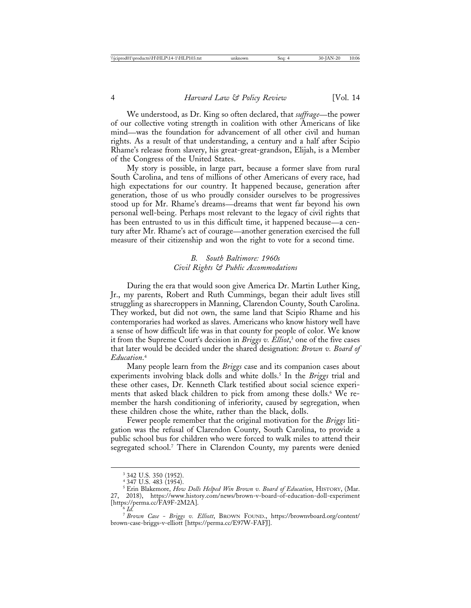We understood, as Dr. King so often declared, that *suffrage*—the power of our collective voting strength in coalition with other Americans of like mind—was the foundation for advancement of all other civil and human rights. As a result of that understanding, a century and a half after Scipio Rhame's release from slavery, his great-great-grandson, Elijah, is a Member of the Congress of the United States.

My story is possible, in large part, because a former slave from rural South Carolina, and tens of millions of other Americans of every race, had high expectations for our country. It happened because, generation after generation, those of us who proudly consider ourselves to be progressives stood up for Mr. Rhame's dreams—dreams that went far beyond his own personal well-being. Perhaps most relevant to the legacy of civil rights that has been entrusted to us in this difficult time, it happened because—a century after Mr. Rhame's act of courage—another generation exercised the full measure of their citizenship and won the right to vote for a second time.

# *B. South Baltimore: 1960s Civil Rights & Public Accommodations*

During the era that would soon give America Dr. Martin Luther King, Jr., my parents, Robert and Ruth Cummings, began their adult lives still struggling as sharecroppers in Manning, Clarendon County, South Carolina. They worked, but did not own, the same land that Scipio Rhame and his contemporaries had worked as slaves. Americans who know history well have a sense of how difficult life was in that county for people of color. We know it from the Supreme Court's decision in *Briggs v. Elliot*, 3 one of the five cases that later would be decided under the shared designation: *Brown v. Board of Education*. 4

Many people learn from the *Briggs* case and its companion cases about experiments involving black dolls and white dolls.5 In the *Briggs* trial and these other cases, Dr. Kenneth Clark testified about social science experiments that asked black children to pick from among these dolls.<sup>6</sup> We remember the harsh conditioning of inferiority, caused by segregation, when these children chose the white, rather than the black, dolls.

Fewer people remember that the original motivation for the *Briggs* litigation was the refusal of Clarendon County, South Carolina, to provide a public school bus for children who were forced to walk miles to attend their segregated school.7 There in Clarendon County, my parents were denied

<sup>3</sup> 342 U.S. 350 (1952).

<sup>4</sup> 347 U.S. 483 (1954).

<sup>5</sup> Erin Blakemore, *How Dolls Helped Win Brown v. Board of Education*, HISTORY, (Mar. 27, 2018), https://www.history.com/news/brown-v-board-of-education-doll-experiment [https://perma.cc/FA9F-2M2A]. <sup>6</sup> *Id.*

<sup>7</sup> *Brown Case - Briggs v. Elliott*, BROWN FOUND., https://brownvboard.org/content/ brown-case-briggs-v-elliott [https://perma.cc/E97W-FAFJ].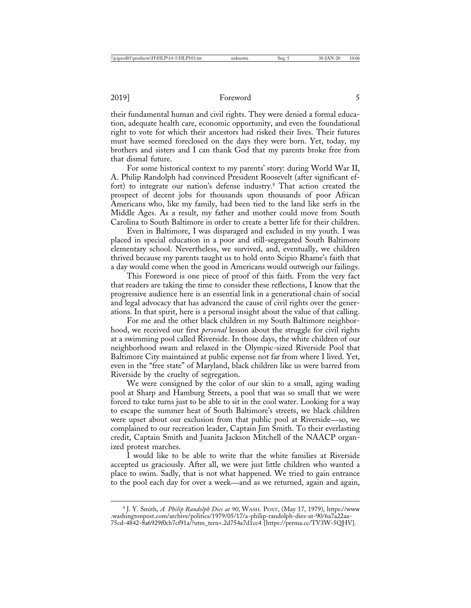their fundamental human and civil rights. They were denied a formal education, adequate health care, economic opportunity, and even the foundational right to vote for which their ancestors had risked their lives. Their futures must have seemed foreclosed on the days they were born. Yet, today, my brothers and sisters and I can thank God that my parents broke free from that dismal future.

For some historical context to my parents' story: during World War II, A. Philip Randolph had convinced President Roosevelt (after significant effort) to integrate our nation's defense industry.<sup>8</sup> That action created the prospect of decent jobs for thousands upon thousands of poor African Americans who, like my family, had been tied to the land like serfs in the Middle Ages. As a result, my father and mother could move from South Carolina to South Baltimore in order to create a better life for their children.

Even in Baltimore, I was disparaged and excluded in my youth. I was placed in special education in a poor and still-segregated South Baltimore elementary school. Nevertheless, we survived, and, eventually, we children thrived because my parents taught us to hold onto Scipio Rhame's faith that a day would come when the good in Americans would outweigh our failings.

This Foreword is one piece of proof of this faith. From the very fact that readers are taking the time to consider these reflections, I know that the progressive audience here is an essential link in a generational chain of social and legal advocacy that has advanced the cause of civil rights over the generations. In that spirit, here is a personal insight about the value of that calling.

For me and the other black children in my South Baltimore neighborhood, we received our first *personal* lesson about the struggle for civil rights at a swimming pool called Riverside. In those days, the white children of our neighborhood swam and relaxed in the Olympic-sized Riverside Pool that Baltimore City maintained at public expense not far from where I lived. Yet, even in the "free state" of Maryland, black children like us were barred from Riverside by the cruelty of segregation.

We were consigned by the color of our skin to a small, aging wading pool at Sharp and Hamburg Streets, a pool that was so small that we were forced to take turns just to be able to sit in the cool water. Looking for a way to escape the summer heat of South Baltimore's streets, we black children were upset about our exclusion from that public pool at Riverside—so, we complained to our recreation leader, Captain Jim Smith. To their everlasting credit, Captain Smith and Juanita Jackson Mitchell of the NAACP organized protest marches.

I would like to be able to write that the white families at Riverside accepted us graciously. After all, we were just little children who wanted a place to swim. Sadly, that is not what happened. We tried to gain entrance to the pool each day for over a week—and as we returned, again and again,

<sup>8</sup> J. Y. Smith, *A. Philip Randolph Dies at 90*, WASH. POST, (May 17, 1979), https://www .washingtonpost.com/archive/politics/1979/05/17/a-philip-randolph-dies-at-90/6a7a22aa-75cd-4842-8a6929f0cb7cf91a/?utm\_tern=.2d754a7d1cc4 [https://perma.cc/TV3W-5QHV].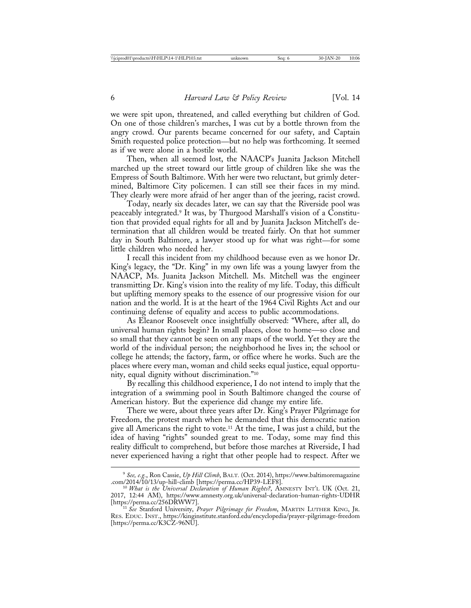we were spit upon, threatened, and called everything but children of God. On one of those children's marches, I was cut by a bottle thrown from the angry crowd. Our parents became concerned for our safety, and Captain Smith requested police protection—but no help was forthcoming. It seemed as if we were alone in a hostile world.

Then, when all seemed lost, the NAACP's Juanita Jackson Mitchell marched up the street toward our little group of children like she was the Empress of South Baltimore. With her were two reluctant, but grimly determined, Baltimore City policemen. I can still see their faces in my mind. They clearly were more afraid of her anger than of the jeering, racist crowd.

Today, nearly six decades later, we can say that the Riverside pool was peaceably integrated.9 It was, by Thurgood Marshall's vision of a Constitution that provided equal rights for all and by Juanita Jackson Mitchell's determination that all children would be treated fairly. On that hot summer day in South Baltimore, a lawyer stood up for what was right—for some little children who needed her.

I recall this incident from my childhood because even as we honor Dr. King's legacy, the "Dr. King" in my own life was a young lawyer from the NAACP, Ms. Juanita Jackson Mitchell. Ms. Mitchell was the engineer transmitting Dr. King's vision into the reality of my life. Today, this difficult but uplifting memory speaks to the essence of our progressive vision for our nation and the world. It is at the heart of the 1964 Civil Rights Act and our continuing defense of equality and access to public accommodations.

As Eleanor Roosevelt once insightfully observed: "Where, after all, do universal human rights begin? In small places, close to home—so close and so small that they cannot be seen on any maps of the world. Yet they are the world of the individual person; the neighborhood he lives in; the school or college he attends; the factory, farm, or office where he works. Such are the places where every man, woman and child seeks equal justice, equal opportunity, equal dignity without discrimination."10

By recalling this childhood experience, I do not intend to imply that the integration of a swimming pool in South Baltimore changed the course of American history. But the experience did change my entire life.

There we were, about three years after Dr. King's Prayer Pilgrimage for Freedom, the protest march when he demanded that this democratic nation give all Americans the right to vote.11 At the time, I was just a child, but the idea of having "rights" sounded great to me. Today, some may find this reality difficult to comprehend, but before those marches at Riverside, I had never experienced having a right that other people had to respect. After we

<sup>9</sup> *See, e.g.*, Ron Cassie, *Up Hill Climb*, BALT*.* (Oct. 2014), https://www.baltimoremagazine

<sup>.</sup>com/2014/10/13/up-hill-climb [https://perma.cc/HP39-LEF8]. <sup>10</sup> *What is the Universal Declaration of Human Rights?*, AMNESTY INT'L UK (Oct. 21, 2017, 12:44 AM), https://www.amnesty.org.uk/universal-declaration-human-rights-UDHR [https://perma.cc/256DRWW7]. <sup>11</sup> *See* Stanford University, *Prayer Pilgrimage for Freedom*, MARTIN LUTHER KING, JR.

RES. EDUC. INST., https://kinginstitute.stanford.edu/encyclopedia/prayer-pilgrimage-freedom [https://perma.cc/K3CZ-96NU].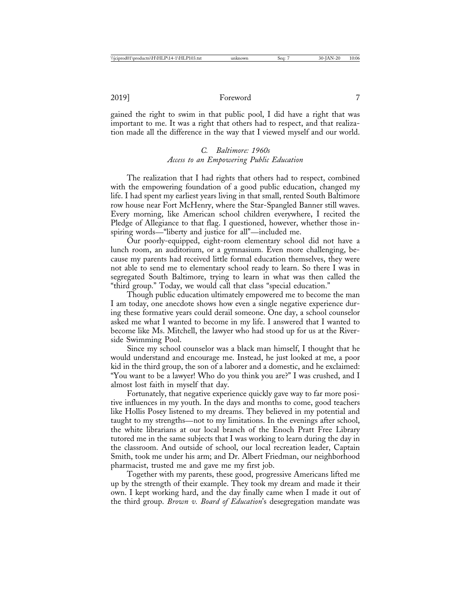gained the right to swim in that public pool, I did have a right that was important to me. It was a right that others had to respect, and that realization made all the difference in the way that I viewed myself and our world.

# *C. Baltimore: 1960s Access to an Empowering Public Education*

The realization that I had rights that others had to respect, combined with the empowering foundation of a good public education, changed my life. I had spent my earliest years living in that small, rented South Baltimore row house near Fort McHenry, where the Star-Spangled Banner still waves. Every morning, like American school children everywhere, I recited the Pledge of Allegiance to that flag. I questioned, however, whether those inspiring words—"liberty and justice for all"—included me.

Our poorly-equipped, eight-room elementary school did not have a lunch room, an auditorium, or a gymnasium. Even more challenging, because my parents had received little formal education themselves, they were not able to send me to elementary school ready to learn. So there I was in segregated South Baltimore, trying to learn in what was then called the "third group." Today, we would call that class "special education."

Though public education ultimately empowered me to become the man I am today, one anecdote shows how even a single negative experience during these formative years could derail someone. One day, a school counselor asked me what I wanted to become in my life. I answered that I wanted to become like Ms. Mitchell, the lawyer who had stood up for us at the Riverside Swimming Pool.

Since my school counselor was a black man himself, I thought that he would understand and encourage me. Instead, he just looked at me, a poor kid in the third group, the son of a laborer and a domestic, and he exclaimed: "You want to be a lawyer! Who do you think you are?" I was crushed, and I almost lost faith in myself that day.

Fortunately, that negative experience quickly gave way to far more positive influences in my youth. In the days and months to come, good teachers like Hollis Posey listened to my dreams. They believed in my potential and taught to my strengths—not to my limitations. In the evenings after school, the white librarians at our local branch of the Enoch Pratt Free Library tutored me in the same subjects that I was working to learn during the day in the classroom. And outside of school, our local recreation leader, Captain Smith, took me under his arm; and Dr. Albert Friedman, our neighborhood pharmacist, trusted me and gave me my first job.

Together with my parents, these good, progressive Americans lifted me up by the strength of their example. They took my dream and made it their own. I kept working hard, and the day finally came when I made it out of the third group. *Brown v. Board of Education*'s desegregation mandate was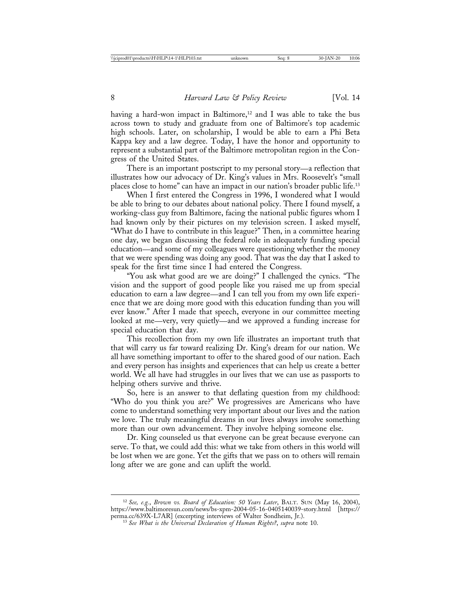having a hard-won impact in Baltimore, $12$  and I was able to take the bus across town to study and graduate from one of Baltimore's top academic high schools. Later, on scholarship, I would be able to earn a Phi Beta Kappa key and a law degree. Today, I have the honor and opportunity to represent a substantial part of the Baltimore metropolitan region in the Congress of the United States.

There is an important postscript to my personal story—a reflection that illustrates how our advocacy of Dr. King's values in Mrs. Roosevelt's "small places close to home" can have an impact in our nation's broader public life.13

When I first entered the Congress in 1996, I wondered what I would be able to bring to our debates about national policy. There I found myself, a working-class guy from Baltimore, facing the national public figures whom I had known only by their pictures on my television screen. I asked myself, "What do I have to contribute in this league?" Then, in a committee hearing one day, we began discussing the federal role in adequately funding special education—and some of my colleagues were questioning whether the money that we were spending was doing any good. That was the day that I asked to speak for the first time since I had entered the Congress.

"You ask what good are we are doing?" I challenged the cynics. "The vision and the support of good people like you raised me up from special education to earn a law degree—and I can tell you from my own life experience that we are doing more good with this education funding than you will ever know." After I made that speech, everyone in our committee meeting looked at me—very, very quietly—and we approved a funding increase for special education that day.

This recollection from my own life illustrates an important truth that that will carry us far toward realizing Dr. King's dream for our nation. We all have something important to offer to the shared good of our nation. Each and every person has insights and experiences that can help us create a better world. We all have had struggles in our lives that we can use as passports to helping others survive and thrive.

So, here is an answer to that deflating question from my childhood: "Who do you think you are?" We progressives are Americans who have come to understand something very important about our lives and the nation we love. The truly meaningful dreams in our lives always involve something more than our own advancement. They involve helping someone else.

Dr. King counseled us that everyone can be great because everyone can serve. To that, we could add this: what we take from others in this world will be lost when we are gone. Yet the gifts that we pass on to others will remain long after we are gone and can uplift the world.

<sup>12</sup> *See, e.g.*, *Brown vs. Board of Education: 50 Years Later*, BALT. SUN (May 16, 2004), https://www.baltimoresun.com/news/bs-xpm-2004-05-16-0405140039-story.html [https://

<sup>&</sup>lt;sup>13</sup> See What is the Universal Declaration of Human Rights?, supra note 10.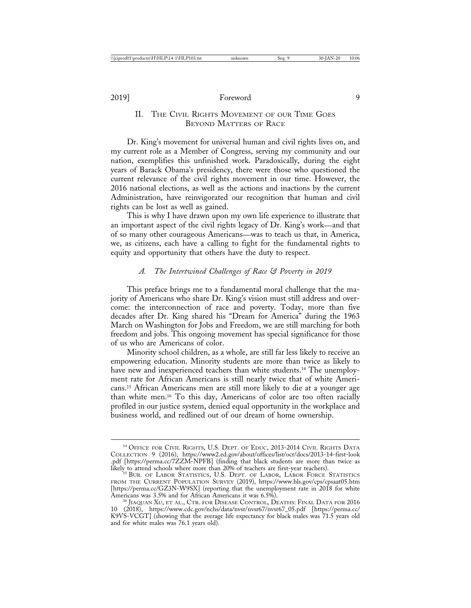# II. THE CIVIL RIGHTS MOVEMENT OF OUR TIME GOES BEYOND MATTERS OF RACE

Dr. King's movement for universal human and civil rights lives on, and my current role as a Member of Congress, serving my community and our nation, exemplifies this unfinished work. Paradoxically, during the eight years of Barack Obama's presidency, there were those who questioned the current relevance of the civil rights movement in our time. However, the 2016 national elections, as well as the actions and inactions by the current Administration, have reinvigorated our recognition that human and civil rights can be lost as well as gained.

This is why I have drawn upon my own life experience to illustrate that an important aspect of the civil rights legacy of Dr. King's work—and that of so many other courageous Americans—was to teach us that, in America, we, as citizens, each have a calling to fight for the fundamental rights to equity and opportunity that others have the duty to respect.

#### *A. The Intertwined Challenges of Race & Poverty in 2019*

This preface brings me to a fundamental moral challenge that the majority of Americans who share Dr. King's vision must still address and overcome: the interconnection of race and poverty. Today, more than five decades after Dr. King shared his "Dream for America" during the 1963 March on Washington for Jobs and Freedom, we are still marching for both freedom and jobs. This ongoing movement has special significance for those of us who are Americans of color.

Minority school children, as a whole, are still far less likely to receive an empowering education. Minority students are more than twice as likely to have new and inexperienced teachers than white students.<sup>14</sup> The unemployment rate for African Americans is still nearly twice that of white Americans.15 African Americans men are still more likely to die at a younger age than white men.16 To this day, Americans of color are too often racially profiled in our justice system, denied equal opportunity in the workplace and business world, and redlined out of our dream of home ownership.

<sup>&</sup>lt;sup>14</sup> OFFICE FOR CIVIL RIGHTS, U.S. DEPT. OF EDUC, 2013-2014 CIVIL RIGHTS DATA COLLECTION 9 (2016), https://www2.ed.gov/about/offices/list/ocr/docs/2013-14-first-look .pdf [https://perma.cc/7ZZM-NPFB] (finding that black students are more than twice as

likely to attend schools where more than 20% of teachers are first-year teachers). <sup>15</sup> BUR. OF LABOR STATISTICS, U.S. DEPT. OF LABOR, LABOR FORCE STATISTICS FROM THE CURRENT POPULATION SURVEY (2019), https://www.bls.gov/cps/cpsaat05.htm [https://perma.cc/GZ3N-W9SX] (reporting that the unemployment rate in 2018 for white Americans was 3.5% and for African Americans it was 6.5%).

<sup>&</sup>lt;sup>16</sup> JIAQUAN XU, ET AL., CTR. FOR DISEASE CONTROL, DEATHS: FINAL DATA FOR 2016 10 (2018), https://www.cdc.gov/nchs/data/nvsr/nvsr67/nvsr67\_05.pdf [https://perma.cc/ K9VS-VCGT] (showing that the average life expectancy for black males was 71.5 years old and for white males was 76.1 years old).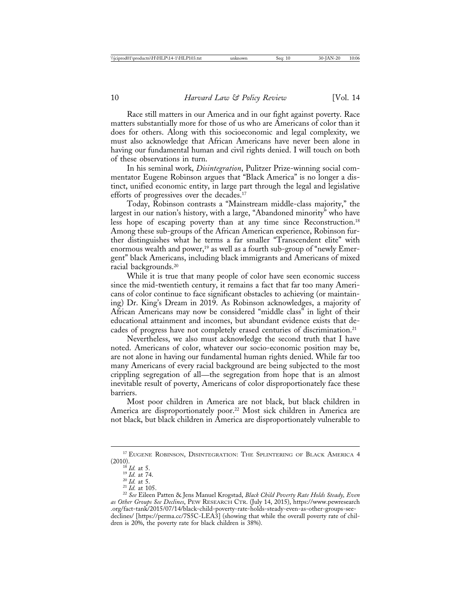Race still matters in our America and in our fight against poverty. Race matters substantially more for those of us who are Americans of color than it does for others. Along with this socioeconomic and legal complexity, we must also acknowledge that African Americans have never been alone in having our fundamental human and civil rights denied. I will touch on both of these observations in turn.

In his seminal work, *Disintegration*, Pulitzer Prize-winning social commentator Eugene Robinson argues that "Black America" is no longer a distinct, unified economic entity, in large part through the legal and legislative efforts of progressives over the decades.17

Today, Robinson contrasts a "Mainstream middle-class majority," the largest in our nation's history, with a large, "Abandoned minority" who have less hope of escaping poverty than at any time since Reconstruction.18 Among these sub-groups of the African American experience, Robinson further distinguishes what he terms a far smaller "Transcendent elite" with enormous wealth and power,<sup>19</sup> as well as a fourth sub-group of "newly Emergent" black Americans, including black immigrants and Americans of mixed racial backgrounds.20

While it is true that many people of color have seen economic success since the mid-twentieth century, it remains a fact that far too many Americans of color continue to face significant obstacles to achieving (or maintaining) Dr. King's Dream in 2019. As Robinson acknowledges, a majority of African Americans may now be considered "middle class" in light of their educational attainment and incomes, but abundant evidence exists that decades of progress have not completely erased centuries of discrimination.<sup>21</sup>

Nevertheless, we also must acknowledge the second truth that I have noted. Americans of color, whatever our socio-economic position may be, are not alone in having our fundamental human rights denied. While far too many Americans of every racial background are being subjected to the most crippling segregation of all—the segregation from hope that is an almost inevitable result of poverty, Americans of color disproportionately face these barriers.

Most poor children in America are not black, but black children in America are disproportionately poor.<sup>22</sup> Most sick children in America are not black, but black children in America are disproportionately vulnerable to

 $^{17}$  EUGENE ROBINSON, DISINTEGRATION: THE SPLINTERING OF BLACK AMERICA 4 (2010).

<sup>&</sup>lt;sup>18</sup> *Id.* at 5.<br><sup>19</sup> *Id.* at 74.<br><sup>20</sup> *Id.* at 5.<br><sup>21</sup> *Id.* at 105. 22 *See* Eileen Patten & Jens Manuel Krogstad, *Black Child Poverty Rate Holds Steady, Even as Other Groups See Declines*, PEW RESEARCH CTR. (July 14, 2015), https://www.pewresearch .org/fact-tank/2015/07/14/black-child-poverty-rate-holds-steady-even-as-other-groups-seedeclines/ [https://perma.cc/7S5C-LEA3] (showing that while the overall poverty rate of children is 20%, the poverty rate for black children is 38%).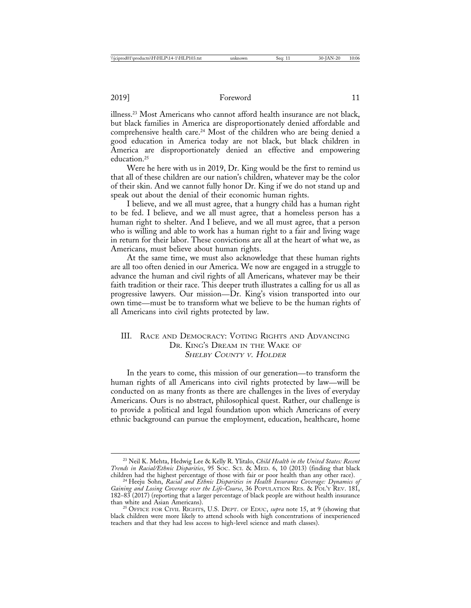illness.23 Most Americans who cannot afford health insurance are not black, but black families in America are disproportionately denied affordable and comprehensive health care.<sup>24</sup> Most of the children who are being denied a good education in America today are not black, but black children in America are disproportionately denied an effective and empowering education.25

Were he here with us in 2019, Dr. King would be the first to remind us that all of these children are our nation's children, whatever may be the color of their skin. And we cannot fully honor Dr. King if we do not stand up and speak out about the denial of their economic human rights.

I believe, and we all must agree, that a hungry child has a human right to be fed. I believe, and we all must agree, that a homeless person has a human right to shelter. And I believe, and we all must agree, that a person who is willing and able to work has a human right to a fair and living wage in return for their labor. These convictions are all at the heart of what we, as Americans, must believe about human rights.

At the same time, we must also acknowledge that these human rights are all too often denied in our America. We now are engaged in a struggle to advance the human and civil rights of all Americans, whatever may be their faith tradition or their race. This deeper truth illustrates a calling for us all as progressive lawyers. Our mission—Dr. King's vision transported into our own time—must be to transform what we believe to be the human rights of all Americans into civil rights protected by law.

# III. RACE AND DEMOCRACY: VOTING RIGHTS AND ADVANCING DR. KING'S DREAM IN THE WAKE OF SHELBY COUNTY <sup>V</sup>. HOLDER

In the years to come, this mission of our generation—to transform the human rights of all Americans into civil rights protected by law—will be conducted on as many fronts as there are challenges in the lives of everyday Americans. Ours is no abstract, philosophical quest. Rather, our challenge is to provide a political and legal foundation upon which Americans of every ethnic background can pursue the employment, education, healthcare, home

<sup>23</sup> Neil K. Mehta, Hedwig Lee & Kelly R. Ylitalo, *Child Health in the United States: Recent Trends in Racial/Ethnic Disparities*, 95 SOC. SCI. & MED. 6, 10 (2013) (finding that black children had the highest percentage of those with fair or poor health than any other race). <sup>24</sup> Heeju Sohn, *Racial and Ethnic Disparities in Health Insurance Coverage: Dynamics of*

*Gaining and Losing Coverage over the Life-Course*, 36 POPULATION RES. & POL'Y REV. 181, 182–83 (2017) (reporting that a larger percentage of black people are without health insurance

<sup>&</sup>lt;sup>25</sup> OFFICE FOR CIVIL RIGHTS, U.S. DEPT. OF EDUC, *supra* note 15, at 9 (showing that black children were more likely to attend schools with high concentrations of inexperienced teachers and that they had less access to high-level science and math classes).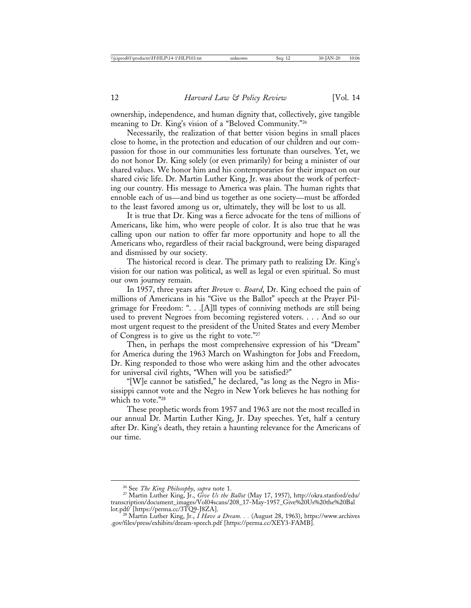ownership, independence, and human dignity that, collectively, give tangible meaning to Dr. King's vision of a "Beloved Community."26

Necessarily, the realization of that better vision begins in small places close to home, in the protection and education of our children and our compassion for those in our communities less fortunate than ourselves. Yet, we do not honor Dr. King solely (or even primarily) for being a minister of our shared values. We honor him and his contemporaries for their impact on our shared civic life. Dr. Martin Luther King, Jr. was about the work of perfecting our country. His message to America was plain. The human rights that ennoble each of us—and bind us together as one society—must be afforded to the least favored among us or, ultimately, they will be lost to us all.

It is true that Dr. King was a fierce advocate for the tens of millions of Americans, like him, who were people of color. It is also true that he was calling upon our nation to offer far more opportunity and hope to all the Americans who, regardless of their racial background, were being disparaged and dismissed by our society.

The historical record is clear. The primary path to realizing Dr. King's vision for our nation was political, as well as legal or even spiritual. So must our own journey remain.

In 1957, three years after *Brown v. Board*, Dr. King echoed the pain of millions of Americans in his "Give us the Ballot" speech at the Prayer Pilgrimage for Freedom: ". . .[A]ll types of conniving methods are still being used to prevent Negroes from becoming registered voters. . . . And so our most urgent request to the president of the United States and every Member of Congress is to give us the right to vote."27

Then, in perhaps the most comprehensive expression of his "Dream" for America during the 1963 March on Washington for Jobs and Freedom, Dr. King responded to those who were asking him and the other advocates for universal civil rights, "When will you be satisfied?"

"[W]e cannot be satisfied," he declared, "as long as the Negro in Mississippi cannot vote and the Negro in New York believes he has nothing for which to vote."28

These prophetic words from 1957 and 1963 are not the most recalled in our annual Dr. Martin Luther King, Jr. Day speeches. Yet, half a century after Dr. King's death, they retain a haunting relevance for the Americans of our time.

<sup>26</sup> See *The King Philosophy*, *supra* note 1. <sup>27</sup> Martin Luther King, Jr., *Give Us the Ballot* (May 17, 1957), http://okra.stanford/edu/ transcription/document\_images/Vol04scans/208\_17-May-1957\_Give%20Us%20the%20Bal<br>lot.pdf/ [https://perma.cc/3TQ9-J8ZA].

<sup>&</sup>lt;sup>28</sup> Martin Luther King, Jr., *I Have a Dream.* . . (August 28, 1963), https://www.archives .gov/files/press/exhibits/dream-speech.pdf [https://perma.cc/XEY3-FAMB].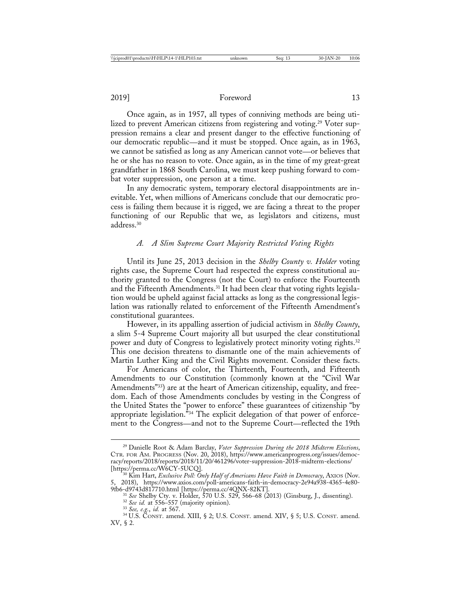Once again, as in 1957, all types of conniving methods are being utilized to prevent American citizens from registering and voting.<sup>29</sup> Voter suppression remains a clear and present danger to the effective functioning of our democratic republic—and it must be stopped. Once again, as in 1963, we cannot be satisfied as long as any American cannot vote—or believes that he or she has no reason to vote. Once again, as in the time of my great-great grandfather in 1868 South Carolina, we must keep pushing forward to combat voter suppression, one person at a time.

In any democratic system, temporary electoral disappointments are inevitable. Yet, when millions of Americans conclude that our democratic process is failing them because it is rigged, we are facing a threat to the proper functioning of our Republic that we, as legislators and citizens, must address.30

#### *A. A Slim Supreme Court Majority Restricted Voting Rights*

Until its June 25, 2013 decision in the *Shelby County v. Holder* voting rights case, the Supreme Court had respected the express constitutional authority granted to the Congress (not the Court) to enforce the Fourteenth and the Fifteenth Amendments.31 It had been clear that voting rights legislation would be upheld against facial attacks as long as the congressional legislation was rationally related to enforcement of the Fifteenth Amendment's constitutional guarantees.

However, in its appalling assertion of judicial activism in *Shelby County*, a slim 5-4 Supreme Court majority all but usurped the clear constitutional power and duty of Congress to legislatively protect minority voting rights.<sup>32</sup> This one decision threatens to dismantle one of the main achievements of Martin Luther King and the Civil Rights movement. Consider these facts.

For Americans of color, the Thirteenth, Fourteenth, and Fifteenth Amendments to our Constitution (commonly known at the "Civil War Amendments"33) are at the heart of American citizenship, equality, and freedom. Each of those Amendments concludes by vesting in the Congress of the United States the "power to enforce" these guarantees of citizenship "by appropriate legislation.<sup>"34</sup> The explicit delegation of that power of enforcement to the Congress—and not to the Supreme Court—reflected the 19th

<sup>29</sup> Danielle Root & Adam Barclay, *Voter Suppression During the 2018 Midterm Elections*, CTR. FOR AM. PROGRESS (Nov. 20, 2018), https://www.americanprogress.org/issues/democracy/reports/2018/reports/2018/11/20/461296/voter-suppression-2018-midterm-elections/ [https://perma.cc/W6CY-5UCQ]. <sup>30</sup> Kim Hart, *Exclusive Poll: Only Half of Americans Have Faith in Democracy*, AXIOS (Nov.

<sup>5, 2018),</sup> https://www.axios.com/poll-americans-faith-in-democracy-2e94a938-4365-4e80- 9fb6-d9743d817710.html [https://perma.cc/4QNX-82KT].<br>
<sup>31</sup> See Shelby Cty. v. Holder, 570 U.S. 529, 566–68 (2013) (Ginsburg, J., dissenting).<br>
<sup>32</sup> See id. at 556–557 (majority opinion).<br>
<sup>33</sup> See, e.g., id. at 567.<br>
<sup>34</sup>

XV, § 2.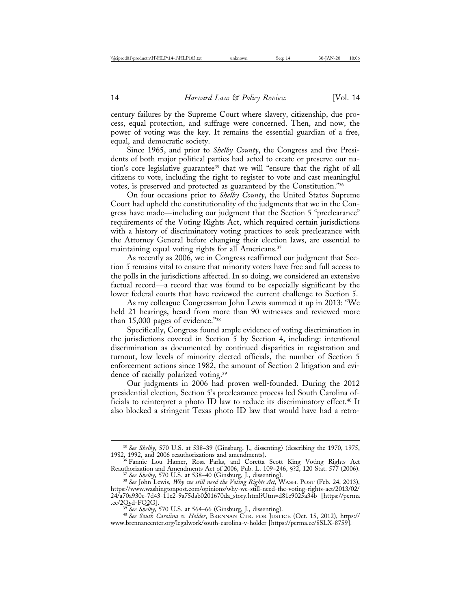century failures by the Supreme Court where slavery, citizenship, due process, equal protection, and suffrage were concerned. Then, and now, the power of voting was the key. It remains the essential guardian of a free, equal, and democratic society.

Since 1965, and prior to *Shelby County*, the Congress and five Presidents of both major political parties had acted to create or preserve our nation's core legislative guarantee<sup>35</sup> that we will "ensure that the right of all citizens to vote, including the right to register to vote and cast meaningful votes, is preserved and protected as guaranteed by the Constitution."36

On four occasions prior to *Shelby County*, the United States Supreme Court had upheld the constitutionality of the judgments that we in the Congress have made—including our judgment that the Section 5 "preclearance" requirements of the Voting Rights Act, which required certain jurisdictions with a history of discriminatory voting practices to seek preclearance with the Attorney General before changing their election laws, are essential to maintaining equal voting rights for all Americans.37

As recently as 2006, we in Congress reaffirmed our judgment that Section 5 remains vital to ensure that minority voters have free and full access to the polls in the jurisdictions affected. In so doing, we considered an extensive factual record—a record that was found to be especially significant by the lower federal courts that have reviewed the current challenge to Section 5.

As my colleague Congressman John Lewis summed it up in 2013: "We held 21 hearings, heard from more than 90 witnesses and reviewed more than 15,000 pages of evidence."38

Specifically, Congress found ample evidence of voting discrimination in the jurisdictions covered in Section 5 by Section 4, including: intentional discrimination as documented by continued disparities in registration and turnout, low levels of minority elected officials, the number of Section 5 enforcement actions since 1982, the amount of Section 2 litigation and evidence of racially polarized voting.39

Our judgments in 2006 had proven well-founded. During the 2012 presidential election, Section 5's preclearance process led South Carolina officials to reinterpret a photo ID law to reduce its discriminatory effect.<sup>40</sup> It also blocked a stringent Texas photo ID law that would have had a retro-

<sup>&</sup>lt;sup>35</sup> See Shelby, 570 U.S. at 538–39 (Ginsburg, J., dissenting) (describing the 1970, 1975, 1982, 1992, and 2006 reauthorizations and amendments).

<sup>&</sup>lt;sup>36</sup> Fannie Lou Hamer, Rosa Parks, and Coretta Scott King Voting Rights Act Reauthorization and Amendments Act of 2006, Pub. L. 109–246, §?2, 120 Stat. 577 (2006).

<sup>&</sup>lt;sup>37</sup> See Shelby, 570 U.S. at 538–40 (Ginsburg, J., dissenting).<br><sup>38</sup> See John Lewis, *Why we still need the Voting Rights Act*, WASH. POST (Feb. 24, 2013), https://www.washingtonpost.com/opinions/why-we-still-need-the-voting-rights-act/2013/02/ 24/a70a930c-7d43-11e2-9a75dab0201670da\_story.html?Utm=d81c9025a34b [https://perma

<sup>.</sup>cc/2Qyd-FQ2G]. <sup>39</sup> *See Shelby*, 570 U.S. at 564–66 (Ginsburg, J., dissenting). <sup>40</sup> *See South Carolina v. Holder*, BRENNAN CTR. FOR JUSTICE (Oct. 15, 2012), https:// www.brennancenter.org/legalwork/south-carolina-v-holder [https://perma.cc/8SLX-8759].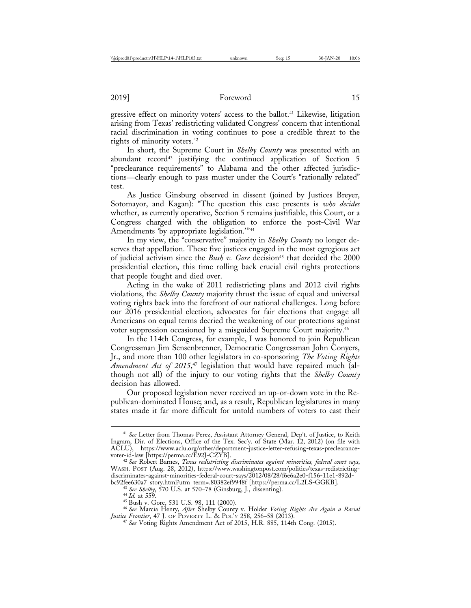gressive effect on minority voters' access to the ballot.<sup>41</sup> Likewise, litigation arising from Texas' redistricting validated Congress' concern that intentional racial discrimination in voting continues to pose a credible threat to the rights of minority voters.<sup>42</sup>

In short, the Supreme Court in *Shelby County* was presented with an abundant record<sup>43</sup> justifying the continued application of Section 5 "preclearance requirements" to Alabama and the other affected jurisdictions—clearly enough to pass muster under the Court's "rationally related" test.

As Justice Ginsburg observed in dissent (joined by Justices Breyer, Sotomayor, and Kagan): "The question this case presents is *who decides* whether, as currently operative, Section 5 remains justifiable, this Court, or a Congress charged with the obligation to enforce the post-Civil War Amendments 'by appropriate legislation.'"44

In my view, the "conservative" majority in *Shelby County* no longer deserves that appellation. These five justices engaged in the most egregious act of judicial activism since the *Bush v. Gore* decision<sup>45</sup> that decided the 2000 presidential election, this time rolling back crucial civil rights protections that people fought and died over.

Acting in the wake of 2011 redistricting plans and 2012 civil rights violations, the *Shelby County* majority thrust the issue of equal and universal voting rights back into the forefront of our national challenges. Long before our 2016 presidential election, advocates for fair elections that engage all Americans on equal terms decried the weakening of our protections against voter suppression occasioned by a misguided Supreme Court majority.46

In the 114th Congress, for example, I was honored to join Republican Congressman Jim Sensenbrenner, Democratic Congressman John Conyers, Jr., and more than 100 other legislators in co-sponsoring *The Voting Rights Amendment Act of 2015*, 47 legislation that would have repaired much (although not all) of the injury to our voting rights that the *Shelby County* decision has allowed.

Our proposed legislation never received an up-or-down vote in the Republican-dominated House; and, as a result, Republican legislatures in many states made it far more difficult for untold numbers of voters to cast their

<sup>41</sup> *See* Letter from Thomas Perez, Assistant Attorney General, Dep't. of Justice, to Keith Ingram, Dir. of Elections, Office of the Tex. Sec'y. of State (Mar. 12, 2012) (on file with ACLU), https://www.aclu.org/other/department-justice-letter-refusing-texas-preclearance-

<sup>&</sup>lt;sup>42</sup> See Robert Barnes, *Texas redistricting discriminates against minorities, federal court says*, WASH. POST (Aug. 28, 2012), https://www.washingtonpost.com/politics/texas-redistrictingdiscriminates-against-minorities-federal-court-says/2012/08/28/f6e6a2e0-f156-11e1-892d-

<sup>&</sup>lt;sup>43</sup> See Shelby, 570 U.S. at 570–78 (Ginsburg, J., dissenting).<br><sup>44</sup> Id. at 559.<br><sup>45</sup> Bush v. Gore, 531 U.S. 98, 111 (2000).<br><sup>46</sup> See Marcia Henry, After Shelby County v. Holder *Voting Rights Are Again a Racial*<br>Justice

<sup>&</sup>lt;sup>47</sup> See Voting Rights Amendment Act of 2015, H.R. 885, 114th Cong. (2015).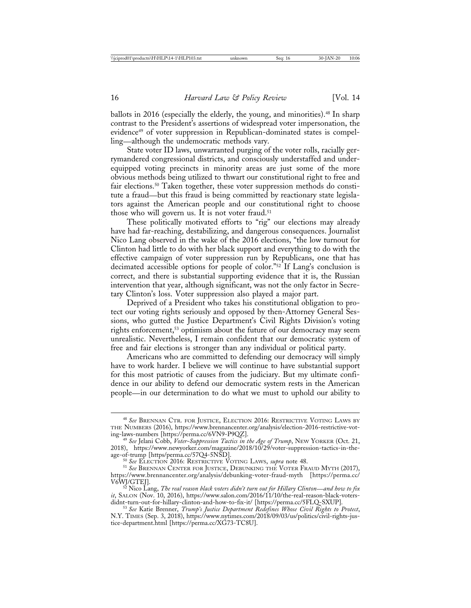ballots in 2016 (especially the elderly, the young, and minorities).<sup>48</sup> In sharp contrast to the President's assertions of widespread voter impersonation, the evidence<sup>49</sup> of voter suppression in Republican-dominated states is compelling—although the undemocratic methods vary.

State voter ID laws, unwarranted purging of the voter rolls, racially gerrymandered congressional districts, and consciously understaffed and underequipped voting precincts in minority areas are just some of the more obvious methods being utilized to thwart our constitutional right to free and fair elections.<sup>50</sup> Taken together, these voter suppression methods do constitute a fraud—but this fraud is being committed by reactionary state legislators against the American people and our constitutional right to choose those who will govern us. It is not voter fraud.<sup>51</sup>

These politically motivated efforts to "rig" our elections may already have had far-reaching, destabilizing, and dangerous consequences. Journalist Nico Lang observed in the wake of the 2016 elections, "the low turnout for Clinton had little to do with her black support and everything to do with the effective campaign of voter suppression run by Republicans, one that has decimated accessible options for people of color."52 If Lang's conclusion is correct, and there is substantial supporting evidence that it is, the Russian intervention that year, although significant, was not the only factor in Secretary Clinton's loss. Voter suppression also played a major part.

Deprived of a President who takes his constitutional obligation to protect our voting rights seriously and opposed by then-Attorney General Sessions, who gutted the Justice Department's Civil Rights Division's voting rights enforcement,<sup>53</sup> optimism about the future of our democracy may seem unrealistic. Nevertheless, I remain confident that our democratic system of free and fair elections is stronger than any individual or political party.

Americans who are committed to defending our democracy will simply have to work harder. I believe we will continue to have substantial support for this most patriotic of causes from the judiciary. But my ultimate confidence in our ability to defend our democratic system rests in the American people—in our determination to do what we must to uphold our ability to

<sup>48</sup> *See* BRENNAN CTR. FOR JUSTICE, ELECTION 2016: RESTRICTIVE VOTING LAWS BY THE NUMBERS (2016), https://www.brennancenter.org/analysis/election-2016-restrictive-vot-

<sup>&</sup>lt;sup>49</sup> See Jelani Cobb, *Voter-Suppression Tactics in the Age of Trump*, NEW YORKER (Oct. 21, 2018), https://www.newyorker.com/magazine/2018/10/29/voter-suppression-tactics-in-the-

<sup>&</sup>lt;sup>50</sup> See ELECTION 2016: RESTRICTIVE VOTING LAWS, *supra* note 48.<br><sup>51</sup> See Brennan Center for Justice, Debunking the Voter Fraud Myth (2017), https://www.brennancenter.org/analysis/debunking-voter-fraud-myth [https://perma.cc/

V6WJ/GTEJ]. <sup>52</sup> Nico Lang, *The real reason black voters didn't turn out for Hillary Clinton*—*and how to fix it*, SALON (Nov. 10, 2016), https://www.salon.com/2016/11/10/the-real-reason-black-voters-<br>didnt-turn-out-for-hillary-clinton-and-how-to-fix-it/ [https://perma.cc/5FLQ-SXUP].

<sup>&</sup>lt;sup>53</sup> See Katie Brenner, *Trump's Justice Department Redefines Whose Civil Rights to Protect*, N.Y. TIMES (Sep. 3, 2018), https://www.nytimes.com/2018/09/03/us/politics/civil-rights-justice-department.html [https://perma.cc/XG73-TC8U].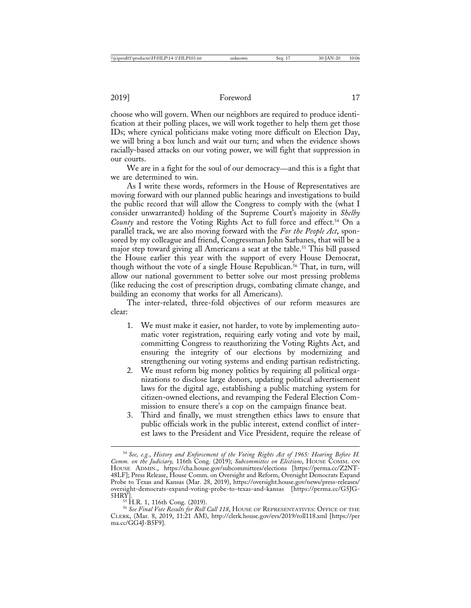choose who will govern. When our neighbors are required to produce identification at their polling places, we will work together to help them get those IDs; where cynical politicians make voting more difficult on Election Day, we will bring a box lunch and wait our turn; and when the evidence shows racially-based attacks on our voting power, we will fight that suppression in our courts.

We are in a fight for the soul of our democracy—and this is a fight that we are determined to win.

As I write these words, reformers in the House of Representatives are moving forward with our planned public hearings and investigations to build the public record that will allow the Congress to comply with the (what I consider unwarranted) holding of the Supreme Court's majority in *Shelby County* and restore the Voting Rights Act to full force and effect.<sup>54</sup> On a parallel track, we are also moving forward with the *For the People Act*, sponsored by my colleague and friend, Congressman John Sarbanes, that will be a major step toward giving all Americans a seat at the table.<sup>55</sup> This bill passed the House earlier this year with the support of every House Democrat, though without the vote of a single House Republican.<sup>56</sup> That, in turn, will allow our national government to better solve our most pressing problems (like reducing the cost of prescription drugs, combating climate change, and building an economy that works for all Americans).

The inter-related, three-fold objectives of our reform measures are clear:

- 1. We must make it easier, not harder, to vote by implementing automatic voter registration, requiring early voting and vote by mail, committing Congress to reauthorizing the Voting Rights Act, and ensuring the integrity of our elections by modernizing and strengthening our voting systems and ending partisan redistricting.
- 2. We must reform big money politics by requiring all political organizations to disclose large donors, updating political advertisement laws for the digital age, establishing a public matching system for citizen-owned elections, and revamping the Federal Election Commission to ensure there's a cop on the campaign finance beat.
- 3. Third and finally, we must strengthen ethics laws to ensure that public officials work in the public interest, extend conflict of interest laws to the President and Vice President, require the release of

<sup>54</sup> *See, e.g.*, *History and Enforcement of the Voting Rights Act of 1965: Hearing Before H. Comm. on the Judiciary,* 116th Cong. (2019); *Subcommittee on Elections*, HOUSE COMM. ON HOUSE ADMIN., https://cha.house.gov/subcommittees/elections [https://perma.cc/Z2NT-48LF]; Press Release, House Comm. on Oversight and Reform, Oversight Democrats Expand Probe to Texas and Kansas (Mar. 28, 2019), https://oversight.house.gov/news/press-releases/ oversight-democrats-expand-voting-probe-to-texas-and-kansas [https://perma.cc/G5JG-<br>5HRY].<br>55 H.R. 1, 116th Cong. (2019).

<sup>&</sup>lt;sup>56</sup> See Final Vote Results for Roll Call 118, HOUSE OF REPRESENTATIVES: OFFICE OF THE CLERK, (Mar. 8, 2019, 11:21 AM), http://clerk.house.gov/evs/2019/roll118.xml [https://per ma.cc/GG4J-B5F9].